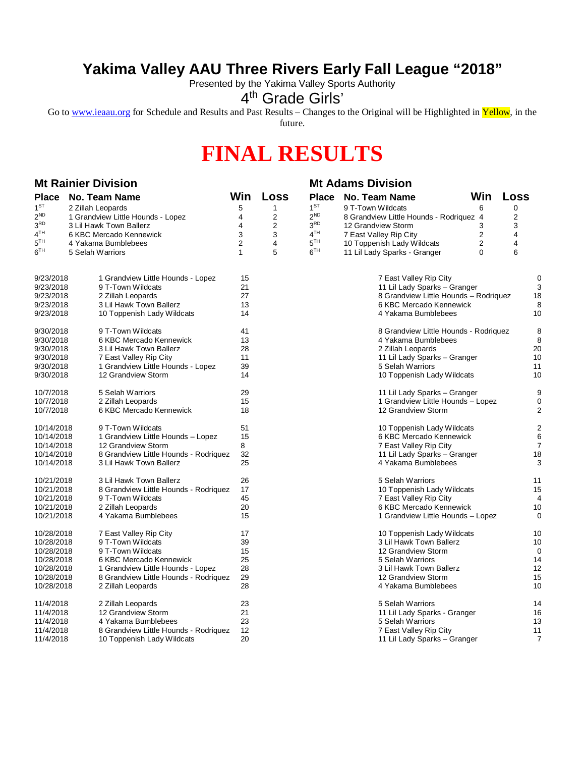## **Yakima Valley AAU Three Rivers Early Fall League "2018"**

Presented by the Yakima Valley Sports Authority

## 4<sup>th</sup> Grade Girls'

Go to [www.ieaau.org](http://www.ieaau.org) for Schedule and Results and Past Results – Changes to the Original will be Highlighted in Yellow, in the future.

## **FINAL RESULTS**

| <b>Mt Rainier Division</b>                      |                                                     |                |      | <b>Mt Adams Division</b> |                                         |                            |                |                         |
|-------------------------------------------------|-----------------------------------------------------|----------------|------|--------------------------|-----------------------------------------|----------------------------|----------------|-------------------------|
|                                                 | Place No. Team Name                                 | Win            | Loss | <b>Place</b>             | No. Team Name                           | <b>Win</b>                 | Loss           |                         |
| $1^{ST}$                                        | 2 Zillah Leopards                                   | 5              | 1    | 1 <sup>ST</sup>          | 9 T-Town Wildcats                       | 6                          | 0              |                         |
| $2^{ND}$                                        | 1 Grandview Little Hounds - Lopez                   | 4              | 2    | 2 <sup>ND</sup>          | 8 Grandview Little Hounds - Rodriquez 4 |                            | $\overline{2}$ |                         |
| 3 <sup>RD</sup>                                 | 3 Lil Hawk Town Ballerz                             | 4              | 2    | 3 <sup>RD</sup>          | 12 Grandview Storm                      | 3                          | 3              |                         |
| 4 <sup>TH</sup>                                 | 6 KBC Mercado Kennewick                             | 3              | 3    | 4 <sup>TH</sup>          | 7 East Valley Rip City                  | $\overline{2}$             | 4              |                         |
| 5 <sup>TH</sup>                                 | 4 Yakama Bumblebees                                 | $\overline{2}$ | 4    | 5 <sup>TH</sup>          | 10 Toppenish Lady Wildcats              | $\overline{c}$             | 4              |                         |
| $6^{TH}$                                        | 5 Selah Warriors                                    | 1              | 5    | 6 <sup>TH</sup>          | 11 Lil Lady Sparks - Granger            | 0                          | 6              |                         |
|                                                 |                                                     |                |      |                          |                                         |                            |                |                         |
| 9/23/2018                                       | 1 Grandview Little Hounds - Lopez                   | 15             |      |                          | 7 East Valley Rip City                  |                            |                | $\mathbf 0$             |
| 9/23/2018                                       | 9 T-Town Wildcats                                   | 21             |      |                          | 11 Lil Lady Sparks - Granger            |                            |                | 3                       |
| 9/23/2018                                       | 2 Zillah Leopards                                   | 27             |      |                          | 8 Grandview Little Hounds - Rodriquez   |                            |                | 18                      |
| 9/23/2018                                       | 3 Lil Hawk Town Ballerz                             | 13             |      |                          | 6 KBC Mercado Kennewick                 |                            |                | 8                       |
| 9/23/2018                                       | 10 Toppenish Lady Wildcats                          | 14             |      |                          | 4 Yakama Bumblebees                     |                            |                | 10                      |
|                                                 |                                                     | 41             |      |                          |                                         |                            |                |                         |
| 9/30/2018                                       | 9 T-Town Wildcats<br>6 KBC Mercado Kennewick        |                |      |                          | 8 Grandview Little Hounds - Rodriquez   |                            |                | 8                       |
|                                                 | 9/30/2018                                           |                |      |                          | 4 Yakama Bumblebees                     |                            |                | 8                       |
| 9/30/2018                                       | 3 Lil Hawk Town Ballerz                             | 28             |      |                          | 2 Zillah Leopards                       |                            |                | 20                      |
| 9/30/2018                                       | 7 East Valley Rip City                              | 11             |      |                          | 11 Lil Lady Sparks - Granger            |                            |                | 10                      |
| 9/30/2018                                       | 1 Grandview Little Hounds - Lopez                   | 39             |      |                          | 5 Selah Warriors                        |                            |                | 11                      |
| 9/30/2018                                       | 12 Grandview Storm                                  | 14             |      |                          | 10 Toppenish Lady Wildcats              |                            |                | 10                      |
| 10/7/2018                                       | 5 Selah Warriors                                    | 29             |      |                          | 11 Lil Lady Sparks - Granger            |                            |                | 9                       |
| 10/7/2018                                       | 2 Zillah Leopards                                   | 15             |      |                          | 1 Grandview Little Hounds - Lopez       |                            |                | 0                       |
| 10/7/2018                                       | 6 KBC Mercado Kennewick                             | 18             |      |                          | 12 Grandview Storm                      |                            |                | 2                       |
| 10/14/2018                                      | 9 T-Town Wildcats                                   | 51             |      |                          | 10 Toppenish Lady Wildcats              |                            |                | $\overline{\mathbf{c}}$ |
| 1 Grandview Little Hounds - Lopez<br>10/14/2018 |                                                     | 15             |      |                          | 6 KBC Mercado Kennewick                 |                            |                | 6                       |
| 10/14/2018<br>12 Grandview Storm                |                                                     | 8              |      |                          | 7 East Valley Rip City                  |                            |                | 7                       |
| 10/14/2018                                      | 8 Grandview Little Hounds - Rodriquez               | 32             |      |                          | 11 Lil Lady Sparks - Granger            |                            |                | 18                      |
| 10/14/2018                                      | 3 Lil Hawk Town Ballerz                             | 25             |      |                          | 4 Yakama Bumblebees                     |                            |                | 3                       |
| 10/21/2018                                      | 3 Lil Hawk Town Ballerz                             | 26             |      |                          | 5 Selah Warriors                        |                            |                | 11                      |
|                                                 | 10/21/2018<br>8 Grandview Little Hounds - Rodriquez |                |      |                          |                                         | 10 Toppenish Lady Wildcats |                | 15                      |
| 10/21/2018                                      | 9 T-Town Wildcats                                   | 45             |      |                          | 7 East Valley Rip City                  |                            |                | 4                       |
| 10/21/2018                                      | 2 Zillah Leopards                                   | 20             |      |                          | 6 KBC Mercado Kennewick                 |                            |                | 10                      |
| 10/21/2018                                      | 4 Yakama Bumblebees                                 | 15             |      |                          | 1 Grandview Little Hounds - Lopez       |                            |                | 0                       |
| 10/28/2018                                      | 7 East Valley Rip City                              | 17             |      |                          | 10 Toppenish Lady Wildcats              |                            |                | 10                      |
| 10/28/2018                                      | 9 T-Town Wildcats                                   | 39             |      |                          | 3 Lil Hawk Town Ballerz                 |                            |                | 10                      |
| 10/28/2018                                      | 9 T-Town Wildcats                                   | 15             |      |                          | 12 Grandview Storm                      |                            |                | 0                       |
| 10/28/2018                                      | 6 KBC Mercado Kennewick                             | 25             |      |                          | 5 Selah Warriors                        |                            |                | 14                      |
| 10/28/2018                                      | 1 Grandview Little Hounds - Lopez                   | 28             |      |                          | 3 Lil Hawk Town Ballerz                 |                            |                | 12                      |
| 10/28/2018                                      | 8 Grandview Little Hounds - Rodriquez               | 29             |      |                          | 12 Grandview Storm                      |                            |                | 15                      |
| 10/28/2018                                      | 2 Zillah Leopards                                   | 28             |      |                          | 4 Yakama Bumblebees                     |                            |                | 10                      |
|                                                 |                                                     |                |      |                          |                                         |                            |                |                         |
| 11/4/2018                                       | 2 Zillah Leopards                                   | 23             |      |                          | 5 Selah Warriors                        |                            |                | 14                      |
| 11/4/2018                                       | 12 Grandview Storm                                  | 21             |      |                          | 11 Lil Lady Sparks - Granger            |                            |                | 16                      |
| 11/4/2018                                       | 4 Yakama Bumblebees                                 | 23             |      |                          | 5 Selah Warriors                        |                            |                | 13                      |
| 11/4/2018                                       | 8 Grandview Little Hounds - Rodriquez               | 12             |      |                          | 7 East Valley Rip City                  |                            |                | 11                      |
| 11/4/2018                                       | 10 Toppenish Lady Wildcats                          | 20             |      |                          | 11 Lil Lady Sparks - Granger            |                            |                | 7                       |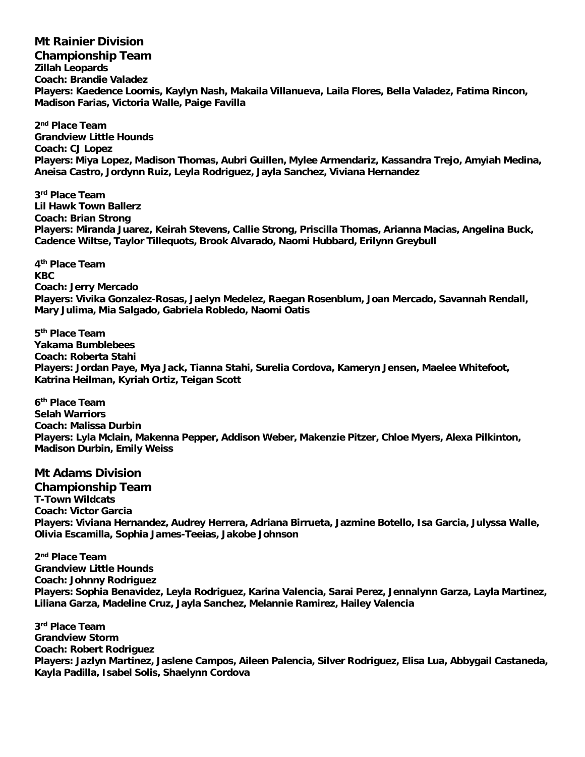**Mt Rainier Division Championship Team Zillah Leopards Coach: Brandie Valadez Players: Kaedence Loomis, Kaylyn Nash, Makaila Villanueva, Laila Flores, Bella Valadez, Fatima Rincon, Madison Farias, Victoria Walle, Paige Favilla**

**2 nd Place Team Grandview Little Hounds Coach: CJ Lopez Players: Miya Lopez, Madison Thomas, Aubri Guillen, Mylee Armendariz, Kassandra Trejo, Amyiah Medina, Aneisa Castro, Jordynn Ruiz, Leyla Rodriguez, Jayla Sanchez, Viviana Hernandez**

**3 rd Place Team Lil Hawk Town Ballerz Coach: Brian Strong Players: Miranda Juarez, Keirah Stevens, Callie Strong, Priscilla Thomas, Arianna Macias, Angelina Buck, Cadence Wiltse, Taylor Tillequots, Brook Alvarado, Naomi Hubbard, Erilynn Greybull**

**4 th Place Team KBC Coach: Jerry Mercado Players: Vivika Gonzalez-Rosas, Jaelyn Medelez, Raegan Rosenblum, Joan Mercado, Savannah Rendall, Mary Julima, Mia Salgado, Gabriela Robledo, Naomi Oatis**

**5 th Place Team Yakama Bumblebees Coach: Roberta Stahi Players: Jordan Paye, Mya Jack, Tianna Stahi, Surelia Cordova, Kameryn Jensen, Maelee Whitefoot, Katrina Heilman, Kyriah Ortiz, Teigan Scott**

**6 th Place Team Selah Warriors Coach: Malissa Durbin Players: Lyla Mclain, Makenna Pepper, Addison Weber, Makenzie Pitzer, Chloe Myers, Alexa Pilkinton, Madison Durbin, Emily Weiss**

## **Mt Adams Division**

**Championship Team T-Town Wildcats Coach: Victor Garcia Players: Viviana Hernandez, Audrey Herrera, Adriana Birrueta, Jazmine Botello, Isa Garcia, Julyssa Walle, Olivia Escamilla, Sophia James-Teeias, Jakobe Johnson**

**2 nd Place Team Grandview Little Hounds Coach: Johnny Rodriguez Players: Sophia Benavidez, Leyla Rodriguez, Karina Valencia, Sarai Perez, Jennalynn Garza, Layla Martinez, Liliana Garza, Madeline Cruz, Jayla Sanchez, Melannie Ramirez, Hailey Valencia**

**3 rd Place Team Grandview Storm Coach: Robert Rodriguez Players: Jazlyn Martinez, Jaslene Campos, Aileen Palencia, Silver Rodriguez, Elisa Lua, Abbygail Castaneda, Kayla Padilla, Isabel Solis, Shaelynn Cordova**